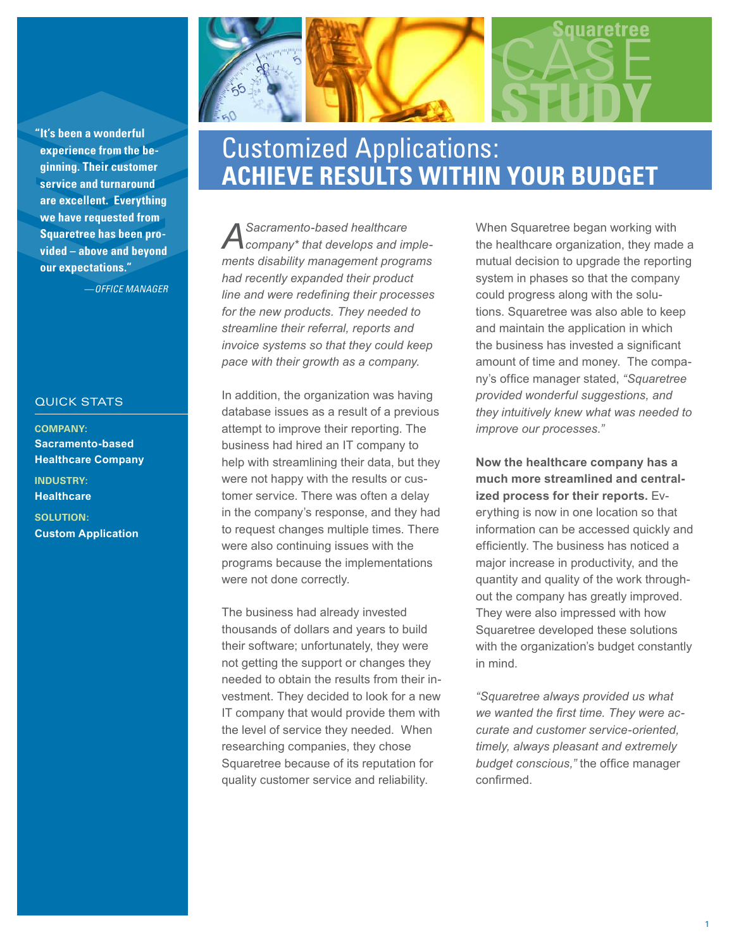**"It's been a wonderful experience from the beginning. Their customer service and turnaround are excellent. Everything we have requested from Squaretree has been provided – above and beyond our expectations."**

—*OFFICE MANAGER*

## QUICK STATS

**COMPANY: Sacramento-based Healthcare Company INDUSTRY: Healthcare**

**SOLUTION: Custom Application**

# Customized Applications: **ACHIEVE RESULTS WITHIN YOUR BUDGET**

*A Sacramento-based healthcare company\* that develops and implements disability management programs had recently expanded their product line and were redefining their processes for the new products. They needed to streamline their referral, reports and invoice systems so that they could keep pace with their growth as a company.* 

In addition, the organization was having database issues as a result of a previous attempt to improve their reporting. The business had hired an IT company to help with streamlining their data, but they were not happy with the results or customer service. There was often a delay in the company's response, and they had to request changes multiple times. There were also continuing issues with the programs because the implementations were not done correctly.

The business had already invested thousands of dollars and years to build their software; unfortunately, they were not getting the support or changes they needed to obtain the results from their investment. They decided to look for a new IT company that would provide them with the level of service they needed. When researching companies, they chose Squaretree because of its reputation for quality customer service and reliability.

When Squaretree began working with the healthcare organization, they made a mutual decision to upgrade the reporting system in phases so that the company could progress along with the solutions. Squaretree was also able to keep and maintain the application in which the business has invested a significant amount of time and money. The company's office manager stated, *"Squaretree provided wonderful suggestions, and they intuitively knew what was needed to improve our processes."* 

**Now the healthcare company has a much more streamlined and centralized process for their reports.** Everything is now in one location so that information can be accessed quickly and efficiently. The business has noticed a major increase in productivity, and the quantity and quality of the work throughout the company has greatly improved. They were also impressed with how Squaretree developed these solutions with the organization's budget constantly in mind.

*"Squaretree always provided us what we wanted the first time. They were accurate and customer service-oriented, timely, always pleasant and extremely budget conscious,"* the office manager confirmed.